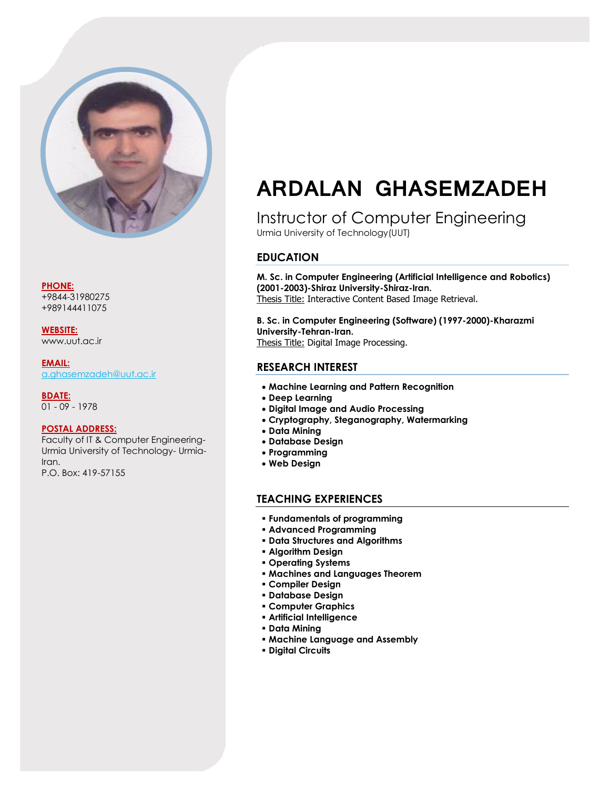

**PHONE:**

+9844-31980275 +989144411075

**WEBSITE:** www.uut.ac.ir

**EMAIL:** [a.ghasemzadeh@uut.ac.ir](mailto:a.ghasemzadeh@uut.ac.ir)

**BDATE:** 01 - 09 - 1978

#### **POSTAL ADDRESS:**

Faculty of IT & Computer Engineering-Urmia University of Technology- Urmia-Iran. P.O. Box: 419-57155

# **ARDALAN GHASEMZADEH**

Instructor of Computer Engineering Urmia University of Technology(UUT)

## **EDUCATION**

**M. Sc. in Computer Engineering (Artificial Intelligence and Robotics) (2001-2003)-Shiraz University-Shiraz-Iran.** Thesis Title: Interactive Content Based Image Retrieval.

**B. Sc. in Computer Engineering (Software) (1997-2000)-Kharazmi University-Tehran-Iran.** Thesis Title: Digital Image Processing.

## **RESEARCH INTEREST**

- **Machine Learning and Pattern Recognition**
- **Deep Learning**
- **Digital Image and Audio Processing**
- **Cryptography, Steganography, Watermarking**
- **Data Mining**
- **Database Design**
- **Programming**
- **Web Design**

## **TEACHING EXPERIENCES**

- **Fundamentals of programming**
- **Advanced Programming**
- **Data Structures and Algorithms**
- **Algorithm Design**
- **Operating Systems**
- **Machines and Languages Theorem**
- **Compiler Design**
- **Database Design**
- **Computer Graphics**
- **Artificial Intelligence**
- **Data Mining**
- **Machine Language and Assembly**
- **Digital Circuits**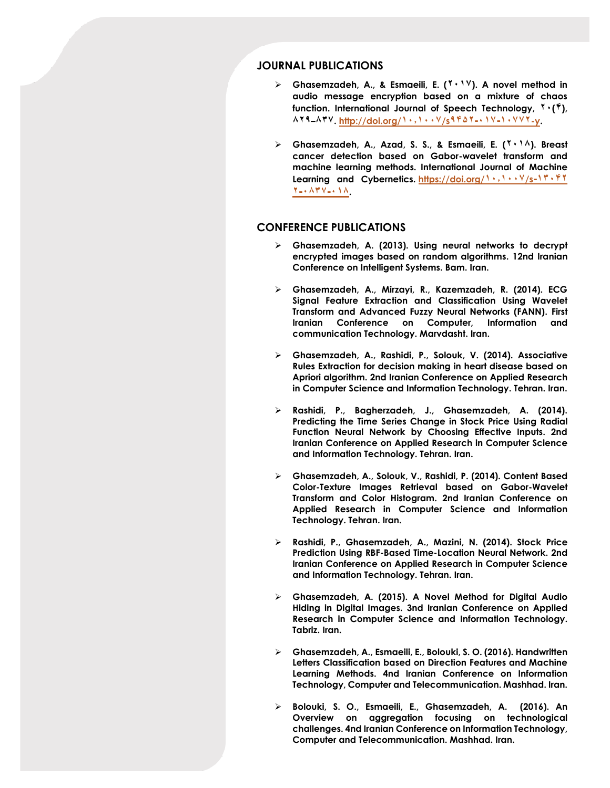### **JOURNAL PUBLICATIONS**

- **Ghasemzadeh, A., & Esmaeili, E. (۷۱۰۲). A novel method in audio message encryption based on a mixture of chaos function. International Journal of Speech Technology, ۷۱(۴), ۹۷۸–۹۳۲. http://doi.org/۰۱۰۰۱۱۲/s[۸۴۴۷-۱۰۲-۰۱۲۲۷](http://doi.org/۱۰.۱۰۰۷/s۱۰۷۷۲-۰۱۷-۹۴۵۲-y)-y.**
- **Ghasemzadeh, A., Azad, S. S., & Esmaeili, E. (۷۱۰۹). Breast cancer detection based on Gabor-wavelet transform and machine learning methods. International Journal of Machine Learning and Cybernetics. [https://doi.org/](https://doi.org/۱۰.۱۰۰۷/s۱۳۰۴۲-۰۱۸-۰۸۳۷-۲)۰۱۰۰۱۱۲/s-۰۳۱۴۷ [۷-۱۹۳۲-۱۰۹](https://doi.org/۱۰.۱۰۰۷/s۱۳۰۴۲-۰۱۸-۰۸۳۷-۲).**

#### **CONFERENCE PUBLICATIONS**

- **Ghasemzadeh, A. (2013). Using neural networks to decrypt encrypted images based on random algorithms. 12nd Iranian Conference on Intelligent Systems. Bam. Iran.**
- **Ghasemzadeh, A., Mirzayi, R., Kazemzadeh, R. (2014). ECG Signal Feature Extraction and Classification Using Wavelet Transform and Advanced Fuzzy Neural Networks (FANN). First Iranian Conference on Computer, Information and communication Technology. Marvdasht. Iran.**
- **Ghasemzadeh, A., Rashidi, P., Solouk, V. (2014). Associative Rules Extraction for decision making in heart disease based on Apriori algorithm. 2nd Iranian Conference on Applied Research in Computer Science and Information Technology. Tehran. Iran.**
- **Rashidi, P., Bagherzadeh, J., Ghasemzadeh, A. (2014). Predicting the Time Series Change in Stock Price Using Radial Function Neural Network by Choosing Effective Inputs. 2nd Iranian Conference on Applied Research in Computer Science and Information Technology. Tehran. Iran.**
- **Ghasemzadeh, A., Solouk, V., Rashidi, P. (2014). Content Based Color-Texture Images Retrieval based on Gabor-Wavelet Transform and Color Histogram. 2nd Iranian Conference on Applied Research in Computer Science and Information Technology. Tehran. Iran.**
- **Rashidi, P., Ghasemzadeh, A., Mazini, N. (2014). Stock Price Prediction Using RBF-Based Time-Location Neural Network. 2nd Iranian Conference on Applied Research in Computer Science and Information Technology. Tehran. Iran.**
- **Ghasemzadeh, A. (2015). A Novel Method for Digital Audio Hiding in Digital Images. 3nd Iranian Conference on Applied Research in Computer Science and Information Technology. Tabriz. Iran.**
- **Ghasemzadeh, A., Esmaeili, E., Bolouki, S. O. (2016). Handwritten Letters Classification based on Direction Features and Machine Learning Methods. 4nd Iranian Conference on Information Technology, Computer and Telecommunication. Mashhad. Iran.**
- **Bolouki, S. O., Esmaeili, E., Ghasemzadeh, A. (2016). An Overview on aggregation focusing on technological challenges. 4nd Iranian Conference on Information Technology, Computer and Telecommunication. Mashhad. Iran.**